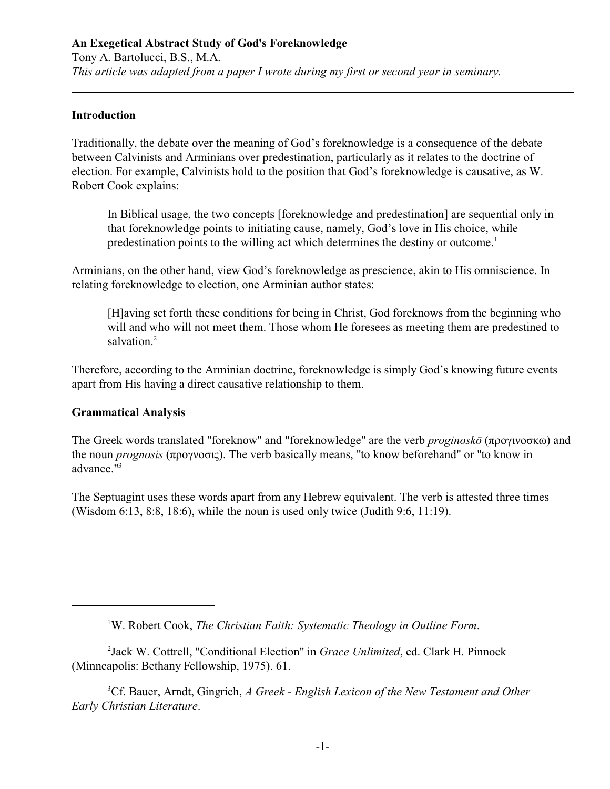### **An Exegetical Abstract Study of God's Foreknowledge**

Tony A. Bartolucci, B.S., M.A. *This article was adapted from a paper I wrote during my first or second year in seminary.* 

### **Introduction**

Traditionally, the debate over the meaning of God's foreknowledge is a consequence of the debate between Calvinists and Arminians over predestination, particularly as it relates to the doctrine of election. For example, Calvinists hold to the position that God's foreknowledge is causative, as W. Robert Cook explains:

In Biblical usage, the two concepts [foreknowledge and predestination] are sequential only in that foreknowledge points to initiating cause, namely, God's love in His choice, while predestination points to the willing act which determines the destiny or outcome. 1

Arminians, on the other hand, view God's foreknowledge as prescience, akin to His omniscience. In relating foreknowledge to election, one Arminian author states:

[H]aving set forth these conditions for being in Christ, God foreknows from the beginning who will and who will not meet them. Those whom He foresees as meeting them are predestined to salvation.<sup>2</sup>

Therefore, according to the Arminian doctrine, foreknowledge is simply God's knowing future events apart from His having a direct causative relationship to them.

#### **Grammatical Analysis**

The Greek words translated "foreknow" and "foreknowledge" are the verb *proginoskō* ( $\pi$ po $\gamma$ ivo $\sigma$ k $\omega$ ) and the noun *prognosis* (προγνοσις). The verb basically means, "to know beforehand" or "to know in advance."<sup>3</sup>

The Septuagint uses these words apart from any Hebrew equivalent. The verb is attested three times (Wisdom 6:13, 8:8, 18:6), while the noun is used only twice (Judith 9:6, 11:19).

<sup>2</sup> Jack W. Cottrell, "Conditional Election" in *Grace Unlimited*, ed. Clark H. Pinnock (Minneapolis: Bethany Fellowship, 1975). 61.

<sup>3</sup>Cf. Bauer, Arndt, Gingrich, *A Greek - English Lexicon of the New Testament and Other Early Christian Literature*.

<sup>&</sup>lt;sup>1</sup>W. Robert Cook, The Christian Faith: Systematic Theology in Outline Form.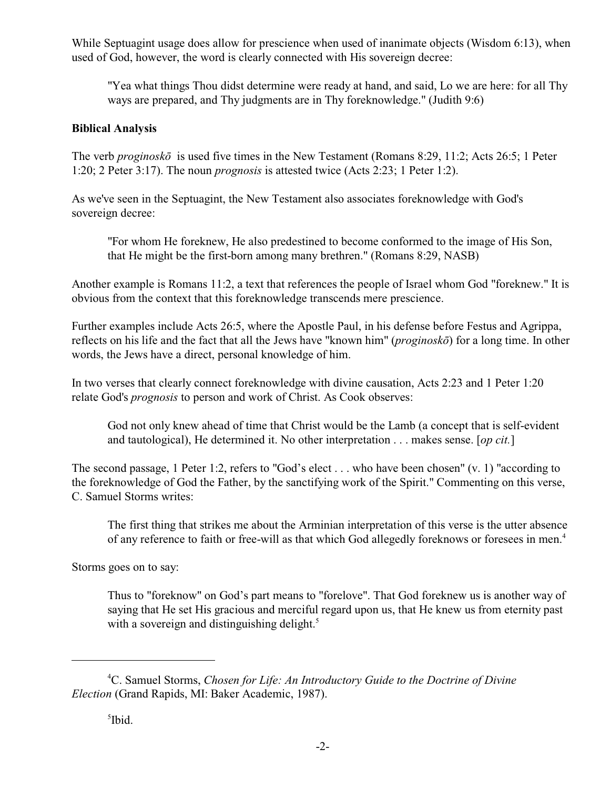While Septuagint usage does allow for prescience when used of inanimate objects (Wisdom 6:13), when used of God, however, the word is clearly connected with His sovereign decree:

"Yea what things Thou didst determine were ready at hand, and said, Lo we are here: for all Thy ways are prepared, and Thy judgments are in Thy foreknowledge." (Judith 9:6)

### **Biblical Analysis**

The verb *proginoskô* is used five times in the New Testament (Romans 8:29, 11:2; Acts 26:5; 1 Peter 1:20; 2 Peter 3:17). The noun *prognosis* is attested twice (Acts 2:23; 1 Peter 1:2).

As we've seen in the Septuagint, the New Testament also associates foreknowledge with God's sovereign decree:

"For whom He foreknew, He also predestined to become conformed to the image of His Son, that He might be the first-born among many brethren." (Romans 8:29, NASB)

Another example is Romans 11:2, a text that references the people of Israel whom God "foreknew." It is obvious from the context that this foreknowledge transcends mere prescience.

Further examples include Acts 26:5, where the Apostle Paul, in his defense before Festus and Agrippa, reflects on his life and the fact that all the Jews have "known him" (*proginoskô*) for a long time. In other words, the Jews have a direct, personal knowledge of him.

In two verses that clearly connect foreknowledge with divine causation, Acts 2:23 and 1 Peter 1:20 relate God's *prognosis* to person and work of Christ. As Cook observes:

God not only knew ahead of time that Christ would be the Lamb (a concept that is self-evident and tautological), He determined it. No other interpretation . . . makes sense. [*op cit.*]

The second passage, 1 Peter 1:2, refers to "God's elect . . . who have been chosen" (v. 1) "according to the foreknowledge of God the Father, by the sanctifying work of the Spirit." Commenting on this verse, C. Samuel Storms writes:

The first thing that strikes me about the Arminian interpretation of this verse is the utter absence of any reference to faith or free-will as that which God allegedly foreknows or foresees in men.<sup>4</sup>

Storms goes on to say:

Thus to "foreknow" on God's part means to "forelove". That God foreknew us is another way of saying that He set His gracious and merciful regard upon us, that He knew us from eternity past with a sovereign and distinguishing delight.<sup>5</sup>

C. Samuel Storms, *Chosen for Life: An Introductory Guide to the Doctrine of Divine* <sup>4</sup> *Election* (Grand Rapids, MI: Baker Academic, 1987).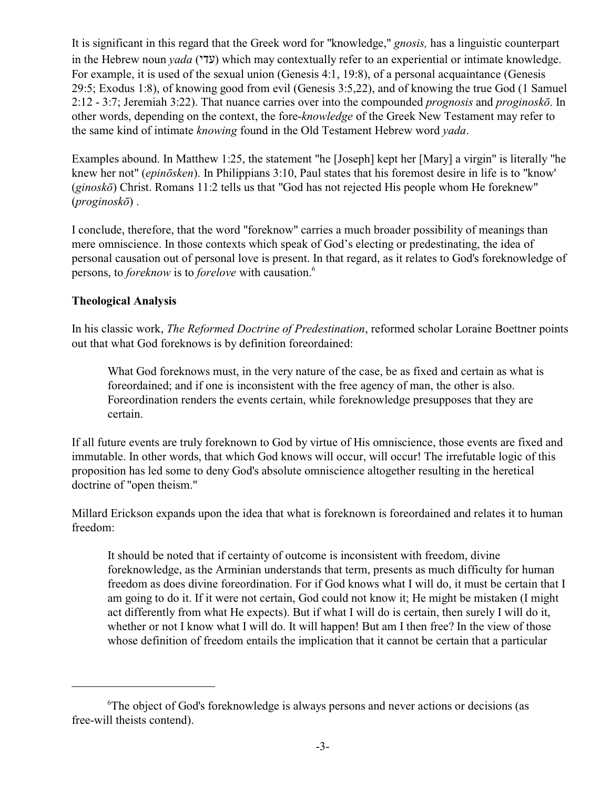It is significant in this regard that the Greek word for "knowledge," *gnosis,* has a linguistic counterpart in the Hebrew noun *yada* (עדי) which may contextually refer to an experiential or intimate knowledge. For example, it is used of the sexual union (Genesis 4:1, 19:8), of a personal acquaintance (Genesis 29:5; Exodus 1:8), of knowing good from evil (Genesis 3:5,22), and of knowing the true God (1 Samuel 2:12 - 3:7; Jeremiah 3:22). That nuance carries over into the compounded *prognosis* and *proginoskô*. In other words, depending on the context, the fore-*knowledge* of the Greek New Testament may refer to the same kind of intimate *knowing* found in the Old Testament Hebrew word *yada*.

Examples abound. In Matthew 1:25, the statement "he [Joseph] kept her [Mary] a virgin" is literally "he knew her not" (*epinôsken*). In Philippians 3:10, Paul states that his foremost desire in life is to "know' (*ginoskô*) Christ. Romans 11:2 tells us that "God has not rejected His people whom He foreknew" (*proginoskô*) .

I conclude, therefore, that the word "foreknow" carries a much broader possibility of meanings than mere omniscience. In those contexts which speak of God's electing or predestinating, the idea of personal causation out of personal love is present. In that regard, as it relates to God's foreknowledge of persons, to *foreknow* is to *forelove* with causation.<sup>6</sup>

## **Theological Analysis**

In his classic work, *The Reformed Doctrine of Predestination*, reformed scholar Loraine Boettner points out that what God foreknows is by definition foreordained:

What God foreknows must, in the very nature of the case, be as fixed and certain as what is foreordained; and if one is inconsistent with the free agency of man, the other is also. Foreordination renders the events certain, while foreknowledge presupposes that they are certain.

If all future events are truly foreknown to God by virtue of His omniscience, those events are fixed and immutable. In other words, that which God knows will occur, will occur! The irrefutable logic of this proposition has led some to deny God's absolute omniscience altogether resulting in the heretical doctrine of "open theism."

Millard Erickson expands upon the idea that what is foreknown is foreordained and relates it to human freedom:

It should be noted that if certainty of outcome is inconsistent with freedom, divine foreknowledge, as the Arminian understands that term, presents as much difficulty for human freedom as does divine foreordination. For if God knows what I will do, it must be certain that I am going to do it. If it were not certain, God could not know it; He might be mistaken (I might act differently from what He expects). But if what I will do is certain, then surely I will do it, whether or not I know what I will do. It will happen! But am I then free? In the view of those whose definition of freedom entails the implication that it cannot be certain that a particular

<sup>&</sup>lt;sup>6</sup>The object of God's foreknowledge is always persons and never actions or decisions (as free-will theists contend).